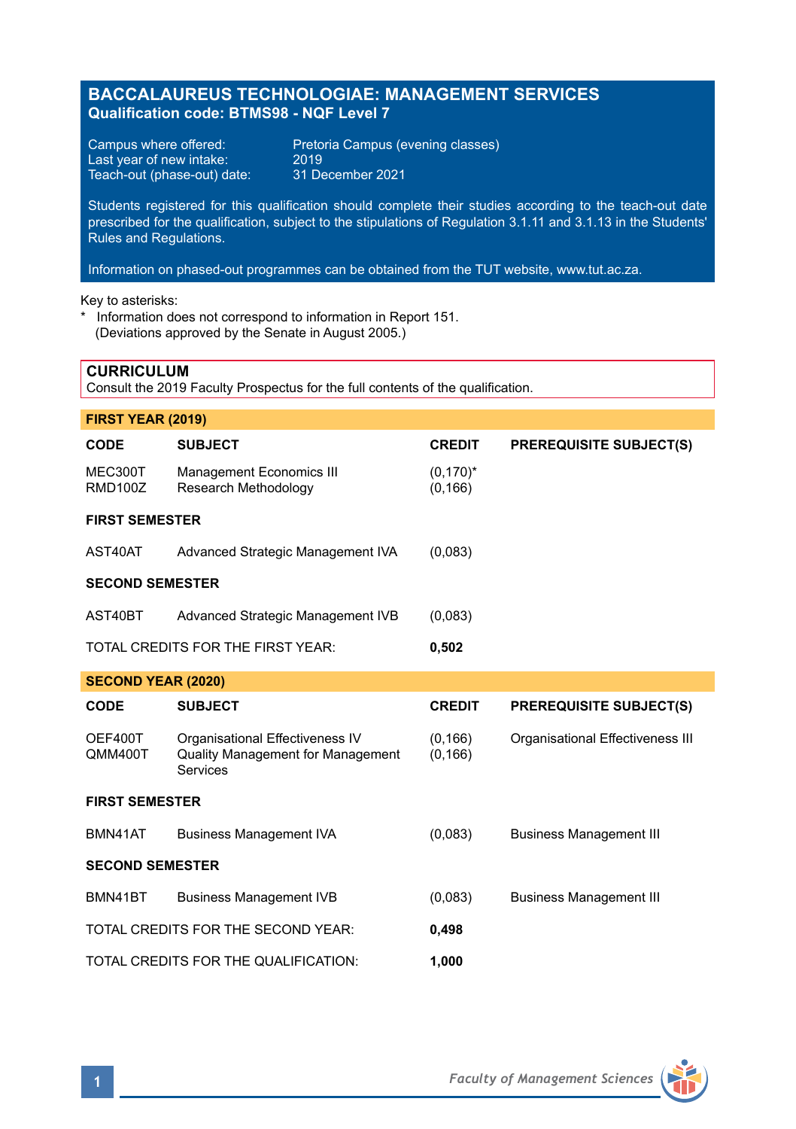# **BACCALAUREUS TECHNOLOGIAE: MANAGEMENT SERVICES Qualification code: BTMS98 - NQF Level 7**

Last year of new intake: 2019<br>Teach-out (phase-out) date: 31 December 2021 Teach-out (phase-out) date:

Campus where offered: Pretoria Campus (evening classes)<br>Last year of new intake: 2019

Students registered for this qualification should complete their studies according to the teach-out date prescribed for the qualification, subject to the stipulations of Regulation 3.1.11 and 3.1.13 in the Students' Rules and Regulations.

Information on phased-out programmes can be obtained from the TUT website, www.tut.ac.za.

Key to asterisks:

**CURRICULUM**

\* Information does not correspond to information in Report 151. (Deviations approved by the Senate in August 2005.)

| Consult the 2019 Faculty Prospectus for the full contents of the qualification. |                                                  |                         |                                  |
|---------------------------------------------------------------------------------|--------------------------------------------------|-------------------------|----------------------------------|
| FIRST YEAR (2019)                                                               |                                                  |                         |                                  |
| CODE                                                                            | <b>SUBJECT</b>                                   | <b>CREDIT</b>           | <b>PREREQUISITE SUBJECT(S)</b>   |
| MEC300T<br><b>RMD100Z</b>                                                       | Management Economics III<br>Research Methodology | $(0,170)^*$<br>(0, 166) |                                  |
| <b>FIRST SEMESTER</b>                                                           |                                                  |                         |                                  |
| AST40AT                                                                         | Advanced Strategic Management IVA                | (0,083)                 |                                  |
| <b>SECOND SEMESTER</b>                                                          |                                                  |                         |                                  |
| AST40BT                                                                         | Advanced Strategic Management IVB                | (0,083)                 |                                  |
|                                                                                 | TOTAL CREDITS FOR THE FIRST YEAR:                | 0,502                   |                                  |
| <b>SECOND YEAR (2020)</b>                                                       |                                                  |                         |                                  |
| CODE                                                                            | <b>SUBJECT</b>                                   | <b>CREDIT</b>           | <b>PREREQUISITE SUBJECT(S)</b>   |
| OEF400T<br>QMM400T                                                              | Organisational Effectiveness IV                  | (0, 166)                | Organisational Effectiveness III |
|                                                                                 | Quality Management for Management<br>Services    | (0, 166)                |                                  |
| <b>FIRST SEMESTER</b>                                                           |                                                  |                         |                                  |
| BMN41AT                                                                         | <b>Business Management IVA</b>                   | (0,083)                 | <b>Business Management III</b>   |
| <b>SECOND SEMESTER</b>                                                          |                                                  |                         |                                  |
| BMN41BT                                                                         | <b>Business Management IVB</b>                   | (0,083)                 | <b>Business Management III</b>   |
|                                                                                 | TOTAL CREDITS FOR THE SECOND YEAR:               | 0,498                   |                                  |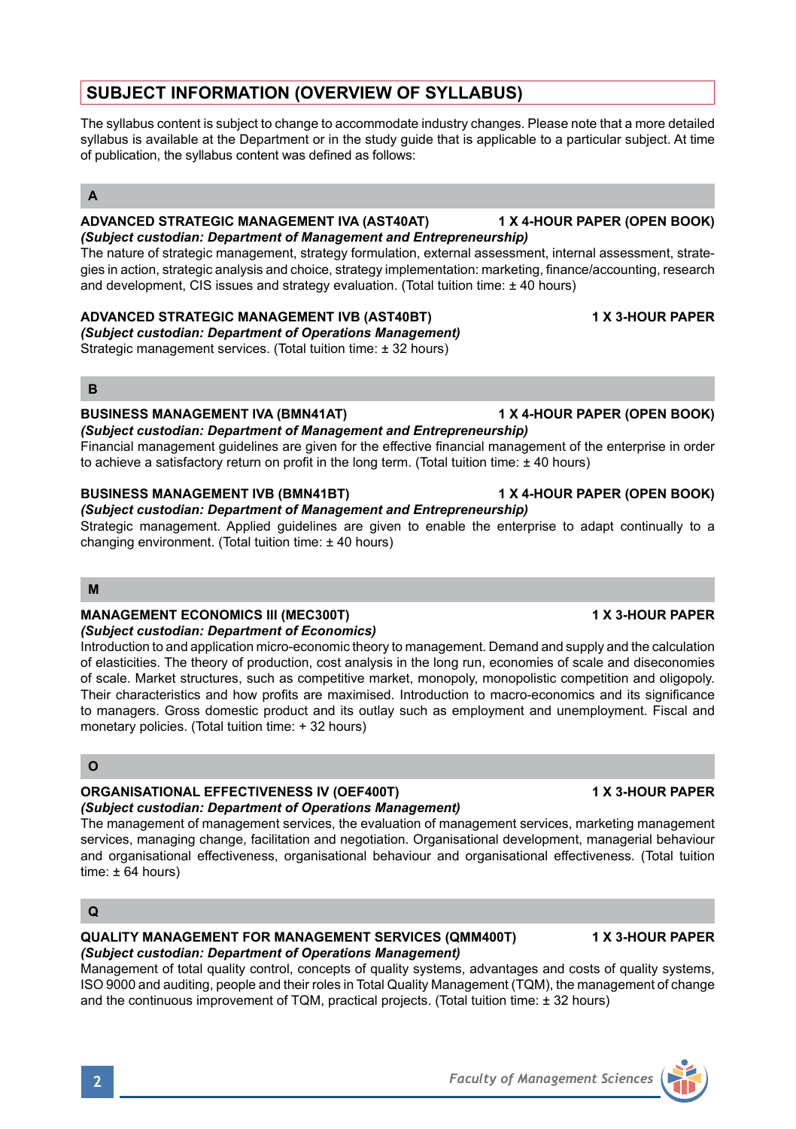# **SUBJECT INFORMATION (OVERVIEW OF SYLLABUS)**

The syllabus content is subject to change to accommodate industry changes. Please note that a more detailed syllabus is available at the Department or in the study guide that is applicable to a particular subject. At time of publication, the syllabus content was defined as follows:

## **A**

### **ADVANCED STRATEGIC MANAGEMENT IVA (AST40AT) 1 X 4-HOUR PAPER (OPEN BOOK)** *(Subject custodian: Department of Management and Entrepreneurship)*

The nature of strategic management, strategy formulation, external assessment, internal assessment, strategies in action, strategic analysis and choice, strategy implementation: marketing, finance/accounting, research and development, CIS issues and strategy evaluation. (Total tuition time: ± 40 hours)

### **ADVANCED STRATEGIC MANAGEMENT IVB (AST40BT) 1 X 3-HOUR PAPER**

*(Subject custodian: Department of Operations Management)* Strategic management services. (Total tuition time: ± 32 hours)

### **B**

### **BUSINESS MANAGEMENT IVA (BMN41AT) 1 X 4-HOUR PAPER (OPEN BOOK)**

*(Subject custodian: Department of Management and Entrepreneurship)* Financial management guidelines are given for the effective financial management of the enterprise in order to achieve a satisfactory return on profit in the long term. (Total tuition time: ± 40 hours)

## **BUSINESS MANAGEMENT IVB (BMN41BT) 1 X 4-HOUR PAPER (OPEN BOOK)**

*(Subject custodian: Department of Management and Entrepreneurship)* Strategic management. Applied guidelines are given to enable the enterprise to adapt continually to a changing environment. (Total tuition time: ± 40 hours)

### **M**

## **MANAGEMENT ECONOMICS III (MEC300T) 1 X 3-HOUR PAPER**

*(Subject custodian: Department of Economics)* Introduction to and application micro-economic theory to management. Demand and supply and the calculation of elasticities. The theory of production, cost analysis in the long run, economies of scale and diseconomies of scale. Market structures, such as competitive market, monopoly, monopolistic competition and oligopoly. Their characteristics and how profits are maximised. Introduction to macro-economics and its significance to managers. Gross domestic product and its outlay such as employment and unemployment. Fiscal and monetary policies. (Total tuition time: + 32 hours)

## **O**

## **ORGANISATIONAL EFFECTIVENESS IV (OEF400T) 1 X 3-HOUR PAPER**

## *(Subject custodian: Department of Operations Management)*

The management of management services, the evaluation of management services, marketing management services, managing change, facilitation and negotiation. Organisational development, managerial behaviour and organisational effectiveness, organisational behaviour and organisational effectiveness. (Total tuition time:  $\pm 64$  hours)

## **Q**

### **QUALITY MANAGEMENT FOR MANAGEMENT SERVICES (QMM400T) 1 X 3-HOUR PAPER** *(Subject custodian: Department of Operations Management)*

Management of total quality control, concepts of quality systems, advantages and costs of quality systems, ISO 9000 and auditing, people and their roles in Total Quality Management (TQM), the management of change and the continuous improvement of TQM, practical projects. (Total tuition time: ± 32 hours)